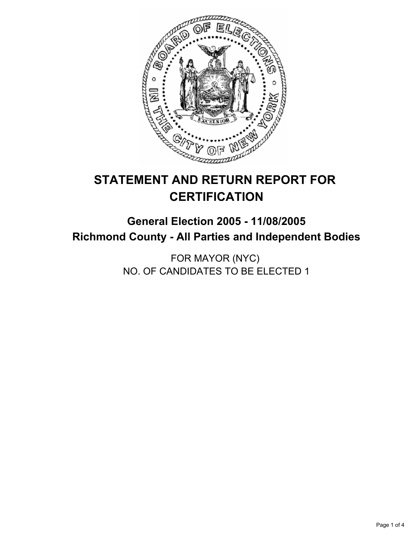

# **STATEMENT AND RETURN REPORT FOR CERTIFICATION**

## **General Election 2005 - 11/08/2005 Richmond County - All Parties and Independent Bodies**

FOR MAYOR (NYC) NO. OF CANDIDATES TO BE ELECTED 1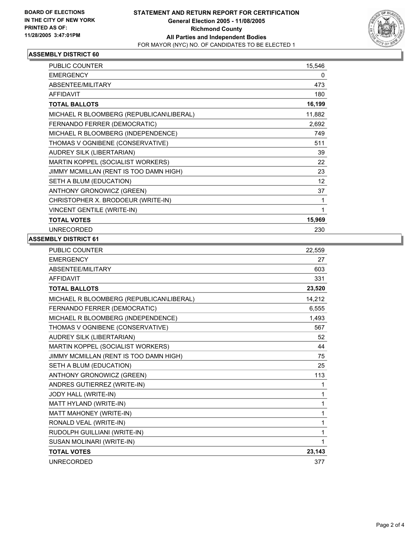

#### **ASSEMBLY DISTRICT 60**

| PUBLIC COUNTER                           | 15,546 |
|------------------------------------------|--------|
| <b>EMERGENCY</b>                         | 0      |
| <b>ABSENTEE/MILITARY</b>                 | 473    |
| <b>AFFIDAVIT</b>                         | 180    |
| <b>TOTAL BALLOTS</b>                     | 16,199 |
| MICHAEL R BLOOMBERG (REPUBLICAN\LIBERAL) | 11,882 |
| FERNANDO FERRER (DEMOCRATIC)             | 2,692  |
| MICHAEL R BLOOMBERG (INDEPENDENCE)       | 749    |
| THOMAS V OGNIBENE (CONSERVATIVE)         | 511    |
| AUDREY SILK (LIBERTARIAN)                | 39     |
| MARTIN KOPPEL (SOCIALIST WORKERS)        | 22     |
| JIMMY MCMILLAN (RENT IS TOO DAMN HIGH)   | 23     |
| SETH A BLUM (EDUCATION)                  | 12     |
| ANTHONY GRONOWICZ (GREEN)                | 37     |
| CHRISTOPHER X. BRODOEUR (WRITE-IN)       |        |
| VINCENT GENTILE (WRITE-IN)               |        |
| <b>TOTAL VOTES</b>                       | 15,969 |
| <b>UNRECORDED</b>                        | 230    |

### **ASSEMBLY DISTRICT 61**

| <b>PUBLIC COUNTER</b>                    | 22,559 |
|------------------------------------------|--------|
| <b>EMERGENCY</b>                         | 27     |
| ABSENTEE/MILITARY                        | 603    |
| <b>AFFIDAVIT</b>                         | 331    |
| <b>TOTAL BALLOTS</b>                     | 23,520 |
| MICHAEL R BLOOMBERG (REPUBLICAN\LIBERAL) | 14,212 |
| FERNANDO FERRER (DEMOCRATIC)             | 6,555  |
| MICHAEL R BLOOMBERG (INDEPENDENCE)       | 1,493  |
| THOMAS V OGNIBENE (CONSERVATIVE)         | 567    |
| AUDREY SILK (LIBERTARIAN)                | 52     |
| MARTIN KOPPEL (SOCIALIST WORKERS)        | 44     |
| JIMMY MCMILLAN (RENT IS TOO DAMN HIGH)   | 75     |
| SETH A BLUM (EDUCATION)                  | 25     |
| ANTHONY GRONOWICZ (GREEN)                | 113    |
| ANDRES GUTIERREZ (WRITE-IN)              | 1      |
| JODY HALL (WRITE-IN)                     | 1      |
| MATT HYLAND (WRITE-IN)                   | 1      |
| MATT MAHONEY (WRITE-IN)                  | 1      |
| RONALD VEAL (WRITE-IN)                   |        |
| RUDOLPH GUILLIANI (WRITE-IN)             | 1      |
| SUSAN MOLINARI (WRITE-IN)                |        |
| <b>TOTAL VOTES</b>                       | 23,143 |
| <b>UNRECORDED</b>                        | 377    |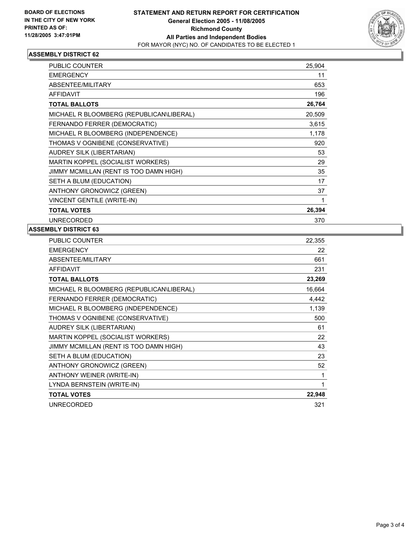

#### **ASSEMBLY DISTRICT 62**

| PUBLIC COUNTER                           | 25,904 |
|------------------------------------------|--------|
| <b>EMERGENCY</b>                         | 11     |
| ABSENTEE/MILITARY                        | 653    |
| <b>AFFIDAVIT</b>                         | 196    |
| <b>TOTAL BALLOTS</b>                     | 26,764 |
| MICHAEL R BLOOMBERG (REPUBLICAN\LIBERAL) | 20,509 |
| FERNANDO FERRER (DEMOCRATIC)             | 3,615  |
| MICHAEL R BLOOMBERG (INDEPENDENCE)       | 1,178  |
| THOMAS V OGNIBENE (CONSERVATIVE)         | 920    |
| AUDREY SILK (LIBERTARIAN)                | 53     |
| MARTIN KOPPEL (SOCIALIST WORKERS)        | 29     |
| JIMMY MCMILLAN (RENT IS TOO DAMN HIGH)   | 35     |
| SETH A BLUM (EDUCATION)                  | 17     |
| ANTHONY GRONOWICZ (GREEN)                | 37     |
| <b>VINCENT GENTILE (WRITE-IN)</b>        |        |
| <b>TOTAL VOTES</b>                       | 26,394 |
| <b>UNRECORDED</b>                        | 370    |

#### **ASSEMBLY DISTRICT 63**

| PUBLIC COUNTER                           | 22,355 |
|------------------------------------------|--------|
| <b>EMERGENCY</b>                         | 22     |
| ABSENTEE/MILITARY                        | 661    |
| <b>AFFIDAVIT</b>                         | 231    |
| <b>TOTAL BALLOTS</b>                     | 23,269 |
| MICHAEL R BLOOMBERG (REPUBLICAN\LIBERAL) | 16,664 |
| FERNANDO FERRER (DEMOCRATIC)             | 4,442  |
| MICHAEL R BLOOMBERG (INDEPENDENCE)       | 1,139  |
| THOMAS V OGNIBENE (CONSERVATIVE)         | 500    |
| AUDREY SILK (LIBERTARIAN)                | 61     |
| MARTIN KOPPEL (SOCIALIST WORKERS)        | 22     |
| JIMMY MCMILLAN (RENT IS TOO DAMN HIGH)   | 43     |
| SETH A BLUM (EDUCATION)                  | 23     |
| ANTHONY GRONOWICZ (GREEN)                | 52     |
| ANTHONY WEINER (WRITE-IN)                |        |
| LYNDA BERNSTEIN (WRITE-IN)               |        |
| <b>TOTAL VOTES</b>                       | 22,948 |
| <b>UNRECORDED</b>                        | 321    |